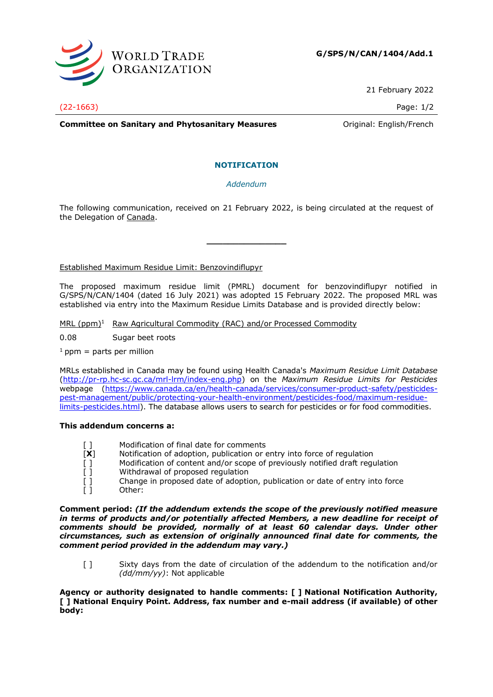

21 February 2022

(22-1663) Page: 1/2

**Committee on Sanitary and Phytosanitary Measures Committee on Sanitary and Phytosanitary Measures Committee on Sanitary American** 

# **NOTIFICATION**

# *Addendum*

The following communication, received on 21 February 2022, is being circulated at the request of the Delegation of Canada.

**\_\_\_\_\_\_\_\_\_\_\_\_\_\_\_**

Established Maximum Residue Limit: Benzovindiflupyr

The proposed maximum residue limit (PMRL) document for benzovindiflupyr notified in G/SPS/N/CAN/1404 (dated 16 July 2021) was adopted 15 February 2022. The proposed MRL was established via entry into the Maximum Residue Limits Database and is provided directly below:

MRL  $(ppm)^1$  Raw Agricultural Commodity (RAC) and/or Processed Commodity

0.08 Sugar beet roots

 $1$  ppm = parts per million

MRLs established in Canada may be found using Health Canada's *Maximum Residue Limit Database* [\(http://pr-rp.hc-sc.gc.ca/mrl-lrm/index-eng.php\)](http://pr-rp.hc-sc.gc.ca/mrl-lrm/index-eng.php) on the *Maximum Residue Limits for Pesticides*  webpage [\(https://www.canada.ca/en/health-canada/services/consumer-product-safety/pesticides](https://www.canada.ca/en/health-canada/services/consumer-product-safety/pesticides-pest-management/public/protecting-your-health-environment/pesticides-food/maximum-residue-limits-pesticides.html)[pest-management/public/protecting-your-health-environment/pesticides-food/maximum-residue](https://www.canada.ca/en/health-canada/services/consumer-product-safety/pesticides-pest-management/public/protecting-your-health-environment/pesticides-food/maximum-residue-limits-pesticides.html)[limits-pesticides.html\)](https://www.canada.ca/en/health-canada/services/consumer-product-safety/pesticides-pest-management/public/protecting-your-health-environment/pesticides-food/maximum-residue-limits-pesticides.html). The database allows users to search for pesticides or for food commodities.

### **This addendum concerns a:**

- [] Modification of final date for comments
- [**X**] Notification of adoption, publication or entry into force of regulation
- [ ] Modification of content and/or scope of previously notified draft regulation [ ]
- Withdrawal of proposed regulation
- [ ] Change in proposed date of adoption, publication or date of entry into force [ ] Other:

**Comment period:** *(If the addendum extends the scope of the previously notified measure in terms of products and/or potentially affected Members, a new deadline for receipt of comments should be provided, normally of at least 60 calendar days. Under other circumstances, such as extension of originally announced final date for comments, the comment period provided in the addendum may vary.)*

[ ] Sixty days from the date of circulation of the addendum to the notification and/or *(dd/mm/yy)*: Not applicable

**Agency or authority designated to handle comments: [ ] National Notification Authority, [ ] National Enquiry Point. Address, fax number and e-mail address (if available) of other body:**